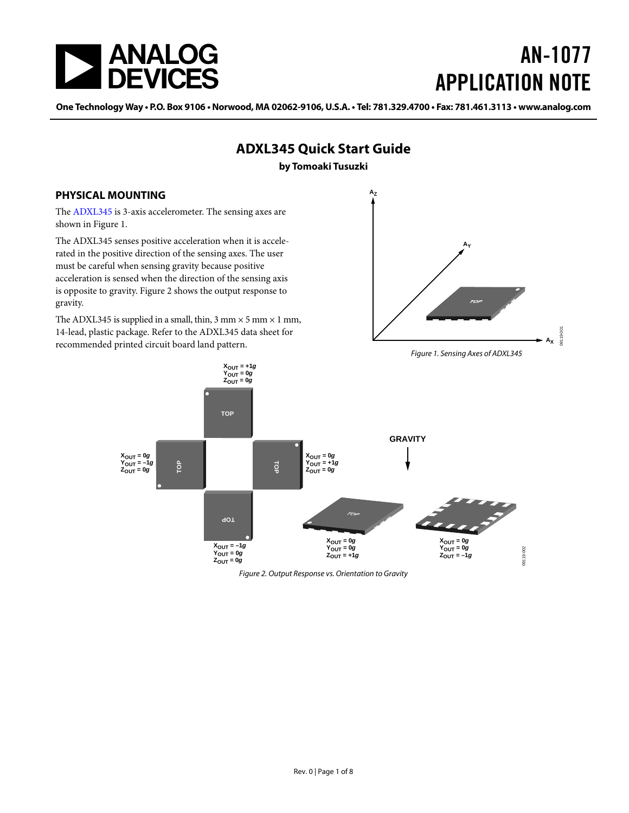<span id="page-0-2"></span>

# AN-1077 APPLICATION NOTE

One Technology Way • P.O. Box 9106 • Norwood, MA 02062-9106, U.S.A. • Tel: 781.329.4700 • Fax: 781.461.3113 • www.analog.com

<span id="page-0-0"></span>

<span id="page-0-1"></span>Figure 2. Output Response vs. Orientation to Gravity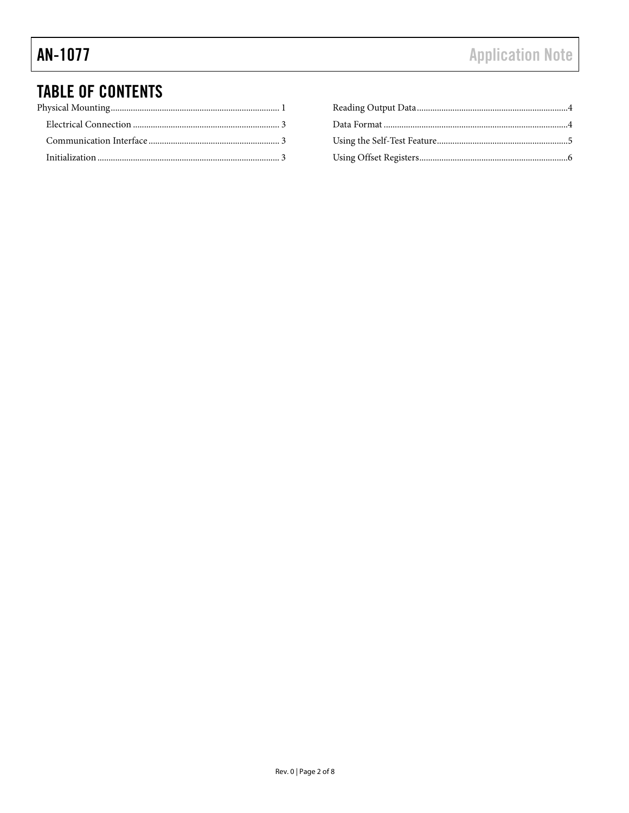### **TABLE OF CONTENTS**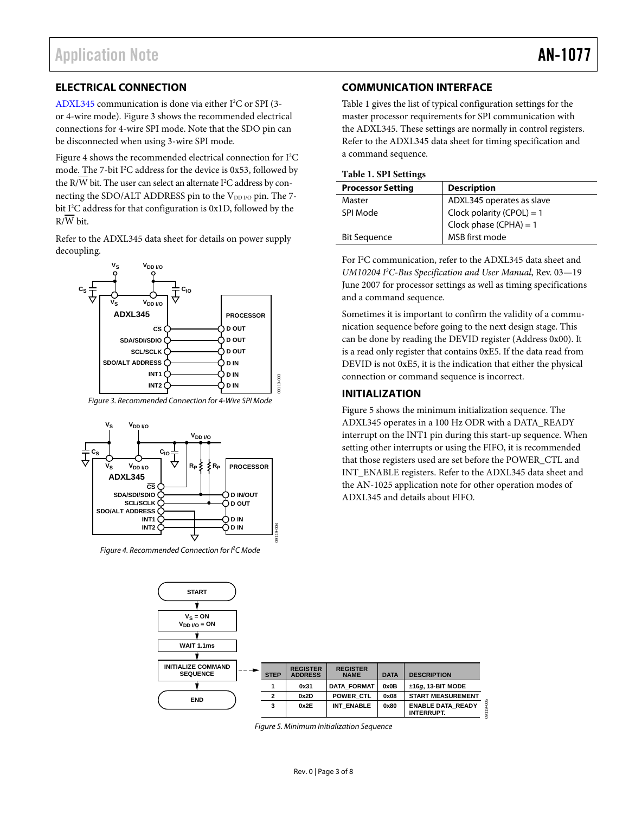#### <span id="page-2-1"></span><span id="page-2-0"></span>**ELECTRICAL CONNECTION**

[ADXL345](http://www.analog.com/ADXL345) communication is done via either I<sup>2</sup>C or SPI (3or 4-wire mode). Figure 3 shows the recommended electrical connections for 4-wire SPI mode. Note that the SDO pin can be disconnected when using 3-wire SPI mode.

Figure 4 shows the recommended electrical connection for I<sup>2</sup>C mode. The 7-bit I<sup>2</sup>C address for the device is 0x53, followed by the R/W bit. The user can select an alternate I<sup>2</sup>C address by connecting the SDO/ALT ADDRESS pin to the VDD I/O pin. The 7bit I<sup>2</sup>C address for that configuration is 0x1D, followed by the  $R/\overline{W}$  bit.

Refer to the [ADXL345 d](http://www.analog.com/ADXL345)ata sheet for details on power supply decoupling.



Figure 3. Recommended Connection for 4-Wire SPI Mode



Figure 4. Recommended Connection for I<sup>2</sup>C Mode

#### **COMMUNICATION INTERFACE**

Table 1 gives the list of typical configuration settings for the master processor requirements for SPI communication with the ADXL345. These settings are normally in control registers. Refer to the [ADXL345](http://www.analog.com/ADXL345) data sheet for timing specification and a command sequence.

#### **Table 1. SPI Settings**

| <b>Processor Setting</b> | <b>Description</b>          |  |  |  |  |
|--------------------------|-----------------------------|--|--|--|--|
| Master                   | ADXL345 operates as slave   |  |  |  |  |
| SPI Mode                 | Clock polarity (CPOL) = $1$ |  |  |  |  |
|                          | Clock phase $(CPHA) = 1$    |  |  |  |  |
| <b>Bit Sequence</b>      | MSB first mode              |  |  |  |  |
|                          |                             |  |  |  |  |

For I<sup>2</sup>C communication, refer to th[e ADXL345](http://www.analog.com/ADXL345) data sheet and *UM10204 I 2 C-Bus Specification and User Manual*, Rev. 03—19 June 2007 for processor settings as well as timing specifications and a command sequence.

Sometimes it is important to confirm the validity of a communication sequence before going to the next design stage. This can be done by reading the DEVID register (Address 0x00). It is a read only register that contains 0xE5. If the data read from DEVID is not 0xE5, it is the indication that either the physical connection or command sequence is incorrect.

#### **INITIALIZATION**

Figure 5 shows the minimum initialization sequence. The [ADXL345](http://www.analog.com/ADXL345) operates in a 100 Hz ODR with a DATA\_READY interrupt on the INT1 pin during this start-up sequence. When setting other interrupts or using the FIFO, it is recommended that those registers used are set before the POWER\_CTL and INT\_ENABLE registers. Refer to the [ADXL345 d](http://www.analog.com/ADXL345)ata sheet and the AN-1025 application note for other operation modes of [ADXL345](http://www.analog.com/ADXL345) and details about FIFO.



Figure 5. Minimum Initialization Sequence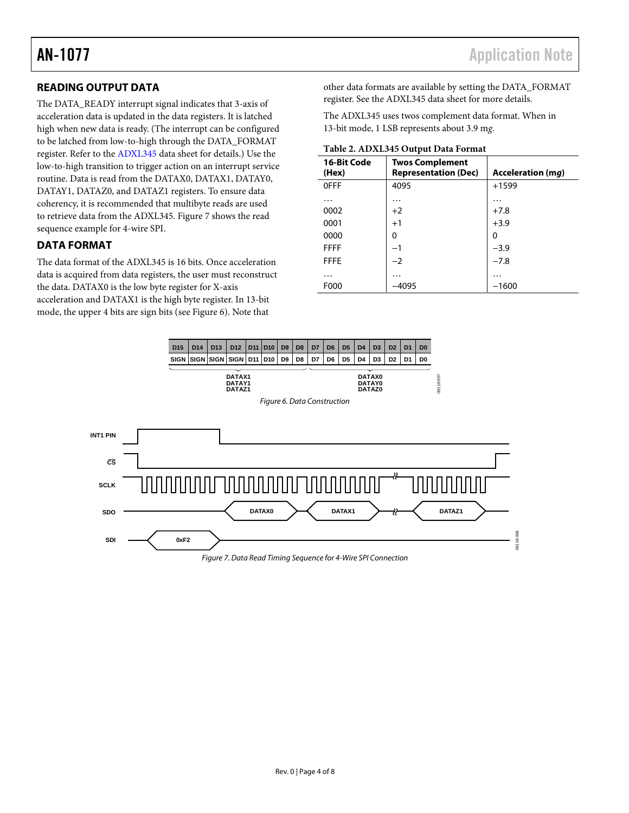### <span id="page-3-1"></span><span id="page-3-0"></span>**READING OUTPUT DATA**

The DATA\_READY interrupt signal indicates that 3-axis of acceleration data is updated in the data registers. It is latched high when new data is ready. (The interrupt can be configured to be latched from low-to-high through the DATA\_FORMAT register. Refer to the [ADXL345](http://www.analog.com/ADXL345) data sheet for details.) Use the low-to-high transition to trigger action on an interrupt service routine. Data is read from the DATAX0, DATAX1, DATAY0, DATAY1, DATAZ0, and DATAZ1 registers. To ensure data coherency, it is recommended that multibyte reads are used to retrieve data from the ADXL345. [Figure 7](#page-3-2) shows the read sequence example for 4-wire SPI.

#### **DATA FORMAT**

The data format of the [ADXL345 i](http://www.analog.com/ADXL345)s 16 bits. Once acceleration data is acquired from data registers, the user must reconstruct the data. DATAX0 is the low byte register for X-axis acceleration and DATAX1 is the high byte register. In 13-bit mode, the upper 4 bits are sign bits (see [Figure 6](#page-3-3)). Note that

other data formats are available by setting the DATA\_FORMAT register. See the [ADXL345](http://www.analog.com/ADXL345) data sheet for more details.

The [ADXL345 u](http://www.analog.com/ADXL345)ses twos complement data format. When in 13-bit mode, 1 LSB represents about 3.9 m*g*.

| 16-Bit Code<br>(Hex) | <b>Twos Complement</b><br><b>Representation (Dec)</b> | <b>Acceleration (mg)</b> |  |  |  |  |  |  |
|----------------------|-------------------------------------------------------|--------------------------|--|--|--|--|--|--|
| <b>OFFF</b>          | 4095                                                  | $+1599$                  |  |  |  |  |  |  |
| .                    | .                                                     | .                        |  |  |  |  |  |  |
| 0002                 | $+2$                                                  | $+7.8$                   |  |  |  |  |  |  |
| 0001                 | $+1$                                                  | $+3.9$                   |  |  |  |  |  |  |
| 0000                 | 0                                                     | 0                        |  |  |  |  |  |  |
| <b>FFFF</b>          | $-1$                                                  | $-3.9$                   |  |  |  |  |  |  |
| <b>FFFE</b>          | $-2$                                                  | $-7.8$                   |  |  |  |  |  |  |
| .                    | $\cdots$                                              | .                        |  |  |  |  |  |  |
| F000                 | -4095                                                 | $-1600$                  |  |  |  |  |  |  |
|                      |                                                       |                          |  |  |  |  |  |  |

<span id="page-3-3"></span><span id="page-3-2"></span>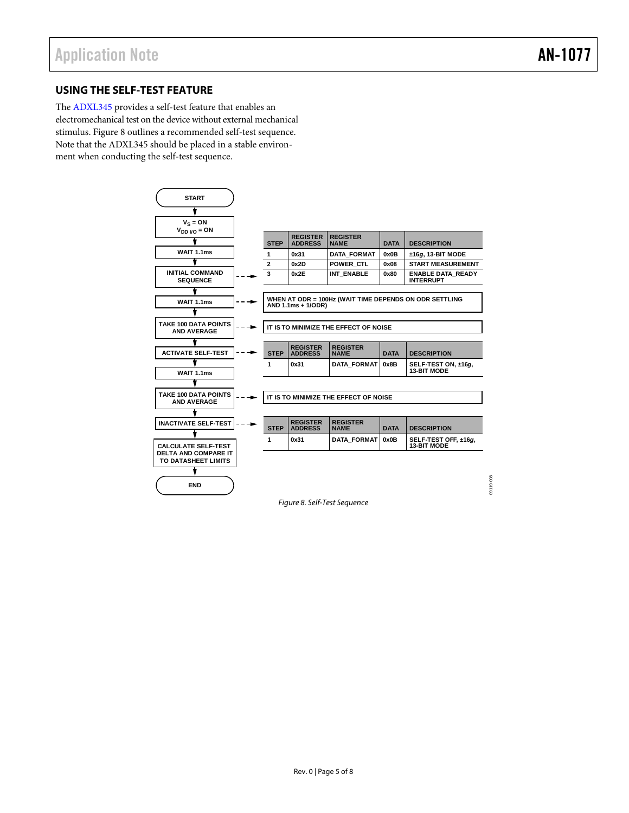09119-008

09119-008

#### <span id="page-4-0"></span>**USING THE SELF-TEST FEATURE**

The [ADXL345](http://www.analog.com/ADXL345) provides a self-test feature that enables an electromechanical test on the device without external mechanical stimulus. [Figure 8](#page-4-1) outlines a recommended self-test sequence. Note that the [ADXL345](http://www.analog.com/ADXL345) should be placed in a stable environment when conducting the self-test sequence.



<span id="page-4-1"></span>Figure 8. Self-Test Sequence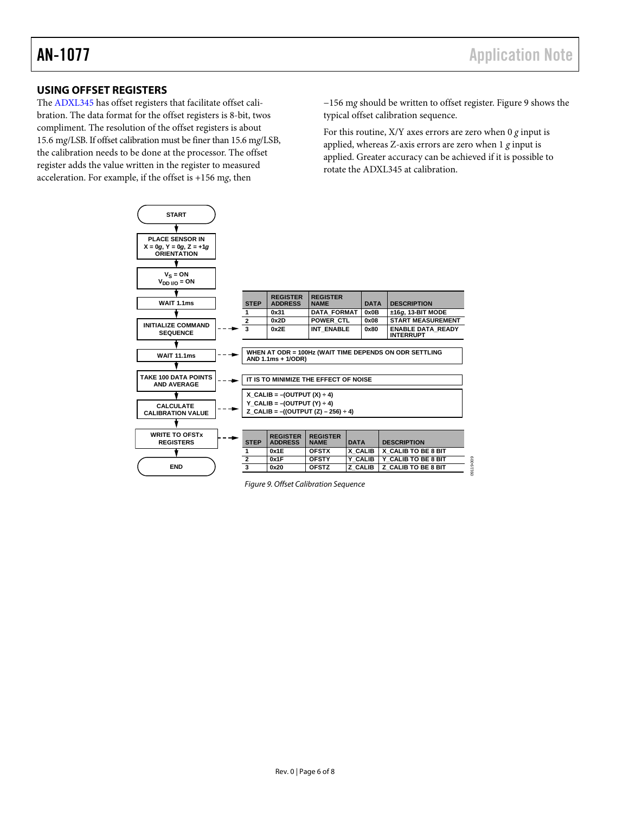#### <span id="page-5-0"></span>**USING OFFSET REGISTERS**

The [ADXL345](http://www.analog.com/ADXL345) has offset registers that facilitate offset calibration. The data format for the offset registers is 8-bit, twos compliment. The resolution of the offset registers is about 15.6 m*g*/LSB. If offset calibration must be finer than 15.6 m*g*/LSB, the calibration needs to be done at the processor. The offset register adds the value written in the register to measured acceleration. For example, if the offset is +156 m*g*, then

**START**

−156 m*g* should be written to offset register. [Figure 9](#page-5-1) shows the typical offset calibration sequence.

09119-009

09119-009

For this routine, X/Y axes errors are zero when 0 *g* input is applied, whereas Z-axis errors are zero when 1 *g* input is applied. Greater accuracy can be achieved if it is possible to rotate the [ADXL345 a](http://www.analog.com/ADXL345)t calibration.

| <b>PLACE SENSOR IN</b><br>$X = 0q$ , $Y = 0q$ , $Z = +1q$<br><b>ORIENTATION</b> |  |                                                                              |                                      |                                |             |                                              |
|---------------------------------------------------------------------------------|--|------------------------------------------------------------------------------|--------------------------------------|--------------------------------|-------------|----------------------------------------------|
|                                                                                 |  |                                                                              |                                      |                                |             |                                              |
| $V_S = ON$<br>$V_{DD I/O} = ON$                                                 |  |                                                                              |                                      |                                |             |                                              |
|                                                                                 |  |                                                                              | <b>REGISTER</b>                      | <b>REGISTER</b>                |             |                                              |
| WAIT 1.1ms                                                                      |  | <b>STEP</b>                                                                  | <b>ADDRESS</b>                       | <b>NAMF</b>                    | <b>DATA</b> | <b>DESCRIPTION</b>                           |
|                                                                                 |  | 1                                                                            | 0x31                                 | <b>DATA FORMAT</b>             | 0x0B        | $±16g$ , 13-BIT MODE                         |
| <b>INITIALIZE COMMAND</b>                                                       |  | $\overline{2}$                                                               | 0x2D                                 | <b>POWER CTL</b>               | 0x08        | <b>START MEASUREMENT</b>                     |
| <b>SEQUENCE</b>                                                                 |  | 3                                                                            | 0x2E                                 | <b>INT ENABLE</b>              | 0x80        | <b>ENABLE DATA READY</b><br><b>INTERRUPT</b> |
|                                                                                 |  |                                                                              |                                      |                                |             |                                              |
| <b>WAIT 11.1ms</b>                                                              |  | WHEN AT ODR = 100Hz (WAIT TIME DEPENDS ON ODR SETTLING<br>AND 1.1ms + 1/ODR) |                                      |                                |             |                                              |
|                                                                                 |  |                                                                              |                                      |                                |             |                                              |
| TAKE 100 DATA POINTS<br><b>AND AVERAGE</b>                                      |  | IT IS TO MINIMIZE THE EFFECT OF NOISE                                        |                                      |                                |             |                                              |
|                                                                                 |  |                                                                              | X CALIB = $-($ OUTPUT $(X) \div 4$ ) |                                |             |                                              |
| <b>CALCULATE</b>                                                                |  | Y CALIB = $-($ OUTPUT $(Y) \div 4$ )                                         |                                      |                                |             |                                              |
| <b>CALIBRATION VALUE</b>                                                        |  | Z CALIB = $-($ (OUTPUT $(Z)$ – 256) ÷ 4)                                     |                                      |                                |             |                                              |
|                                                                                 |  |                                                                              |                                      |                                |             |                                              |
| <b>WRITE TO OFSTX</b><br><b>REGISTERS</b>                                       |  | <b>STEP</b>                                                                  | <b>REGISTER</b><br><b>ADDRESS</b>    | <b>REGISTER</b><br><b>NAME</b> | <b>DATA</b> | <b>DESCRIPTION</b>                           |
|                                                                                 |  | 1                                                                            | 0x1E                                 | <b>OFSTX</b>                   | X CALIB     | X CALIB TO BE 8 BIT                          |
|                                                                                 |  | $\overline{2}$                                                               | 0x1F                                 | <b>OFSTY</b>                   | Y CALIB     | Y CALIB TO BE 8 BIT                          |
| <b>END</b>                                                                      |  | $\overline{\mathbf{3}}$                                                      | 0x20                                 | <b>OFSTZ</b>                   | Z CALIB     | Z CALIB TO BE 8 BIT                          |

<span id="page-5-1"></span>Figure 9. Offset Calibration Sequence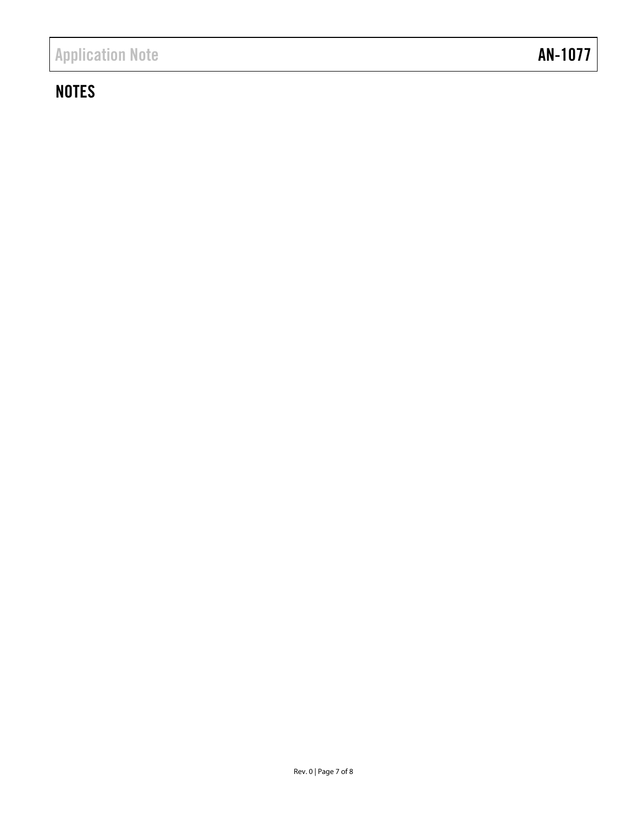## **NOTES**